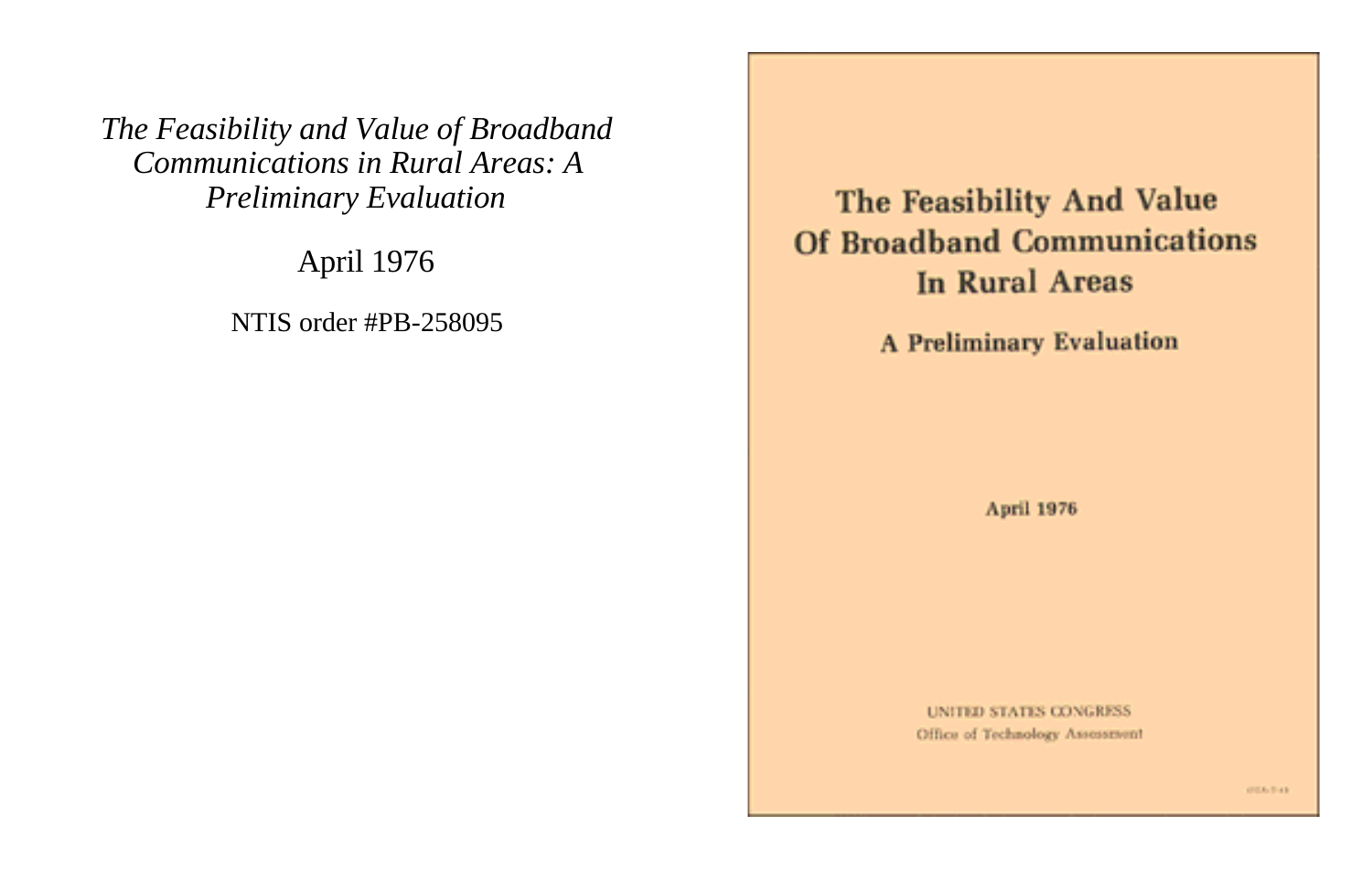*The Feasibility and Value of Broadband Communications in Rural Areas: A Preliminary Evaluation*

April 1976

NTIS order #PB-258095

The Feasibility And Value **Of Broadband Communications In Rural Areas** 

**A Preliminary Evaluation** 

April 1976

**UNITED STATES CONGRESS** Office of Technology Assessment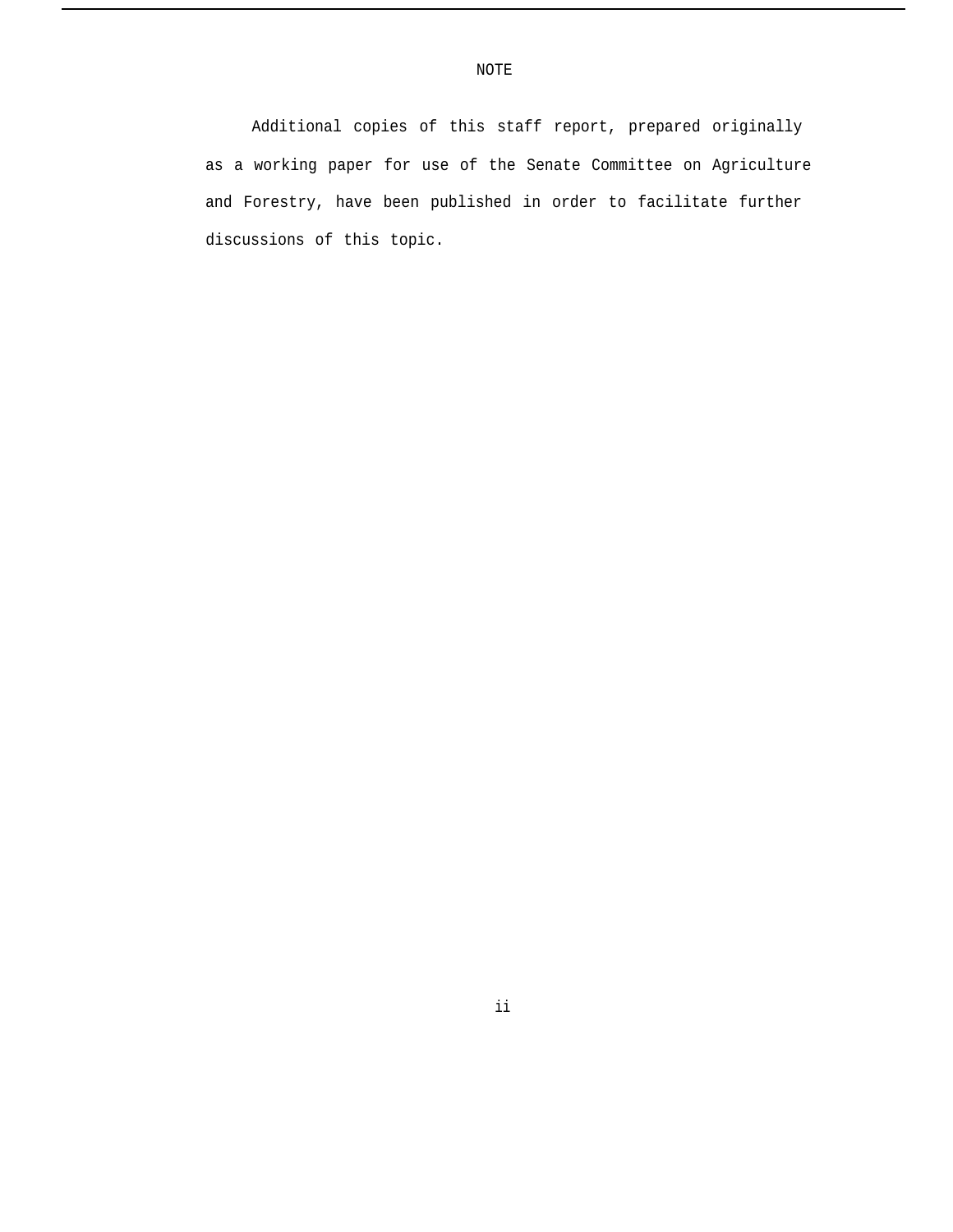Additional copies of this staff report, prepared originally as a working paper for use of the Senate Committee on Agriculture and Forestry, have been published in order to facilitate further discussions of this topic.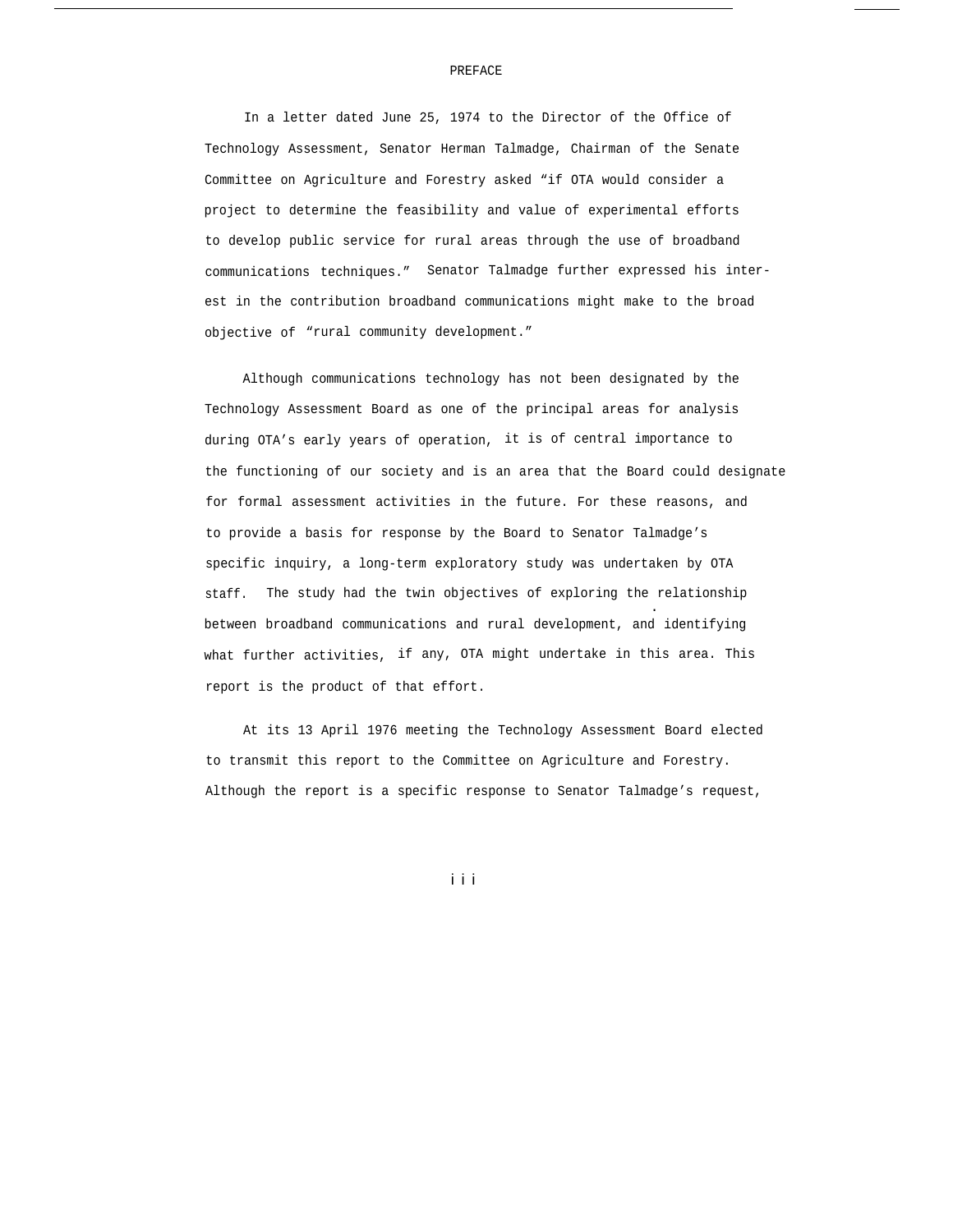## PREFACE

In a letter dated June 25, 1974 to the Director of the Office of Technology Assessment, Senator Herman Talmadge, Chairman of the Senate Committee on Agriculture and Forestry asked "if OTA would consider a project to determine the feasibility and value of experimental efforts to develop public service for rural areas through the use of broadband communications techniques." Senator Talmadge further expressed his interest in the contribution broadband communications might make to the broad objective of "rural community development."

Although communications technology has not been designated by the Technology Assessment Board as one of the principal areas for analysis during OTA's early years of operation, it is of central importance to the functioning of our society and is an area that the Board could designate for formal assessment activities in the future. For these reasons, and to provide a basis for response by the Board to Senator Talmadge's specific inquiry, a long-term exploratory study was undertaken by OTA staff. The study had the twin objectives of exploring the relationship . between broadband communications and rural development, and identifying what further activities, if any, OTA might undertake in this area. This report is the product of that effort.

At its 13 April 1976 meeting the Technology Assessment Board elected to transmit this report to the Committee on Agriculture and Forestry. Although the report is a specific response to Senator Talmadge's request,

i i i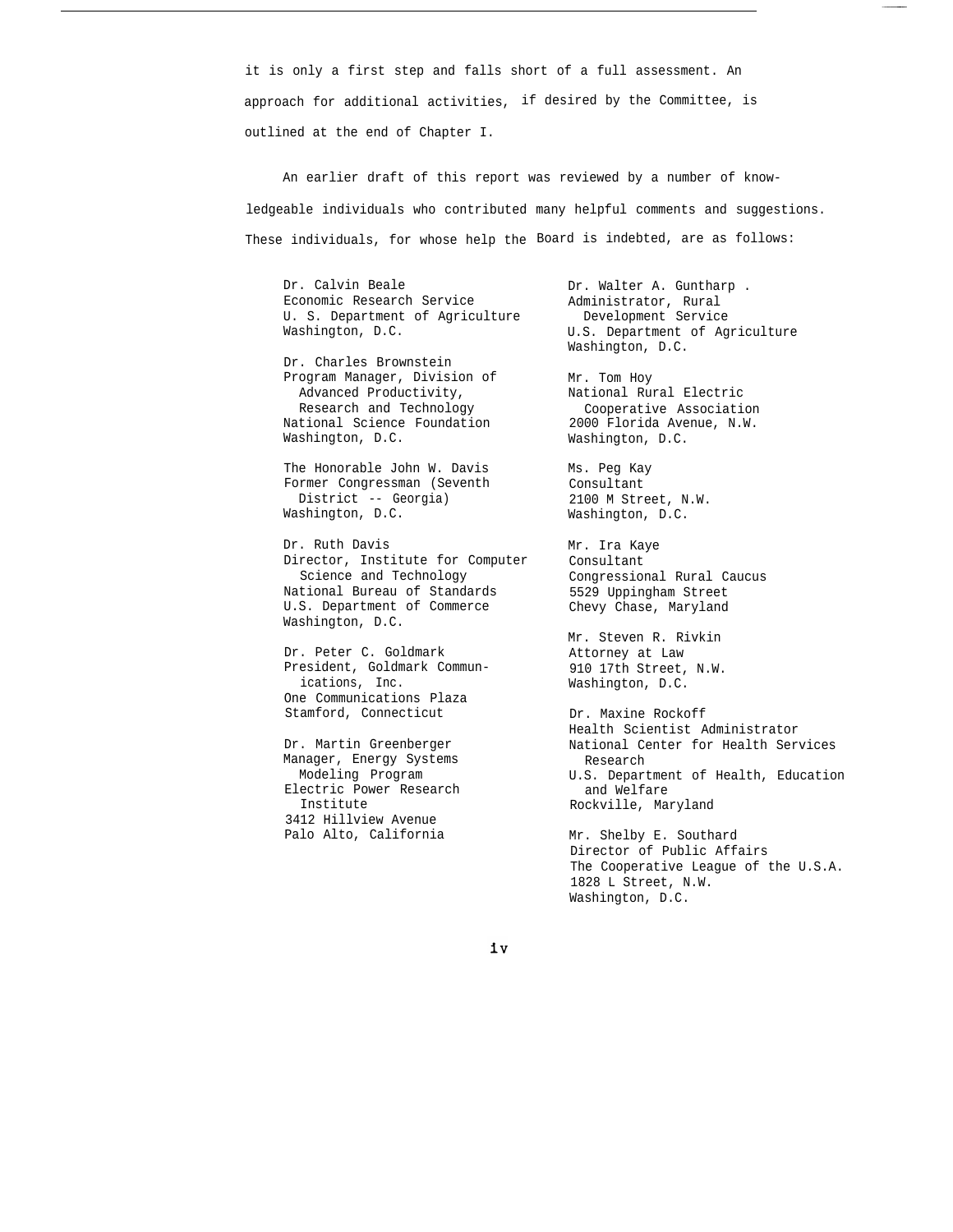it is only a first step and falls short of a full assessment. An approach for additional activities, if desired by the Committee, is outlined at the end of Chapter I.

An earlier draft of this report was reviewed by a number of knowledgeable individuals who contributed many helpful comments and suggestions. These individuals, for whose help the Board is indebted, are as follows:

Dr. Calvin Beale Economic Research Service U. S. Department of Agriculture Washington, D.C.

Dr. Charles Brownstein Program Manager, Division of Advanced Productivity, Research and Technology National Science Foundation Washington, D.C.

The Honorable John W. Davis Former Congressman (Seventh District -- Georgia) Washington, D.C.

Dr. Ruth Davis Director, Institute for Computer Science and Technology National Bureau of Standards U.S. Department of Commerce Washington, D.C.

Dr. Peter C. Goldmark President, Goldmark Communications, Inc. One Communications Plaza Stamford, Connecticut

Dr. Martin Greenberger Manager, Energy Systems Modeling Program Electric Power Research Institute 3412 Hillview Avenue Palo Alto, California

Dr. Walter A. Guntharp . Administrator, Rural Development Service U.S. Department of Agriculture Washington, D.C.

Mr. Tom Hoy National Rural Electric Cooperative Association 2000 Florida Avenue, N.W. Washington, D.C.

Ms. Peg Kay Consultant 2100 M Street, N.W. Washington, D.C.

Mr. Ira Kaye Consultant Congressional Rural Caucus 5529 Uppingham Street Chevy Chase, Maryland

Mr. Steven R. Rivkin Attorney at Law 910 17th Street, N.W. Washington, D.C.

Dr. Maxine Rockoff Health Scientist Administrator National Center for Health Services Research U.S. Department of Health, Education and Welfare Rockville, Maryland

Mr. Shelby E. Southard Director of Public Affairs The Cooperative League of the U.S.A. 1828 L Street, N.W. Washington, D.C.

iv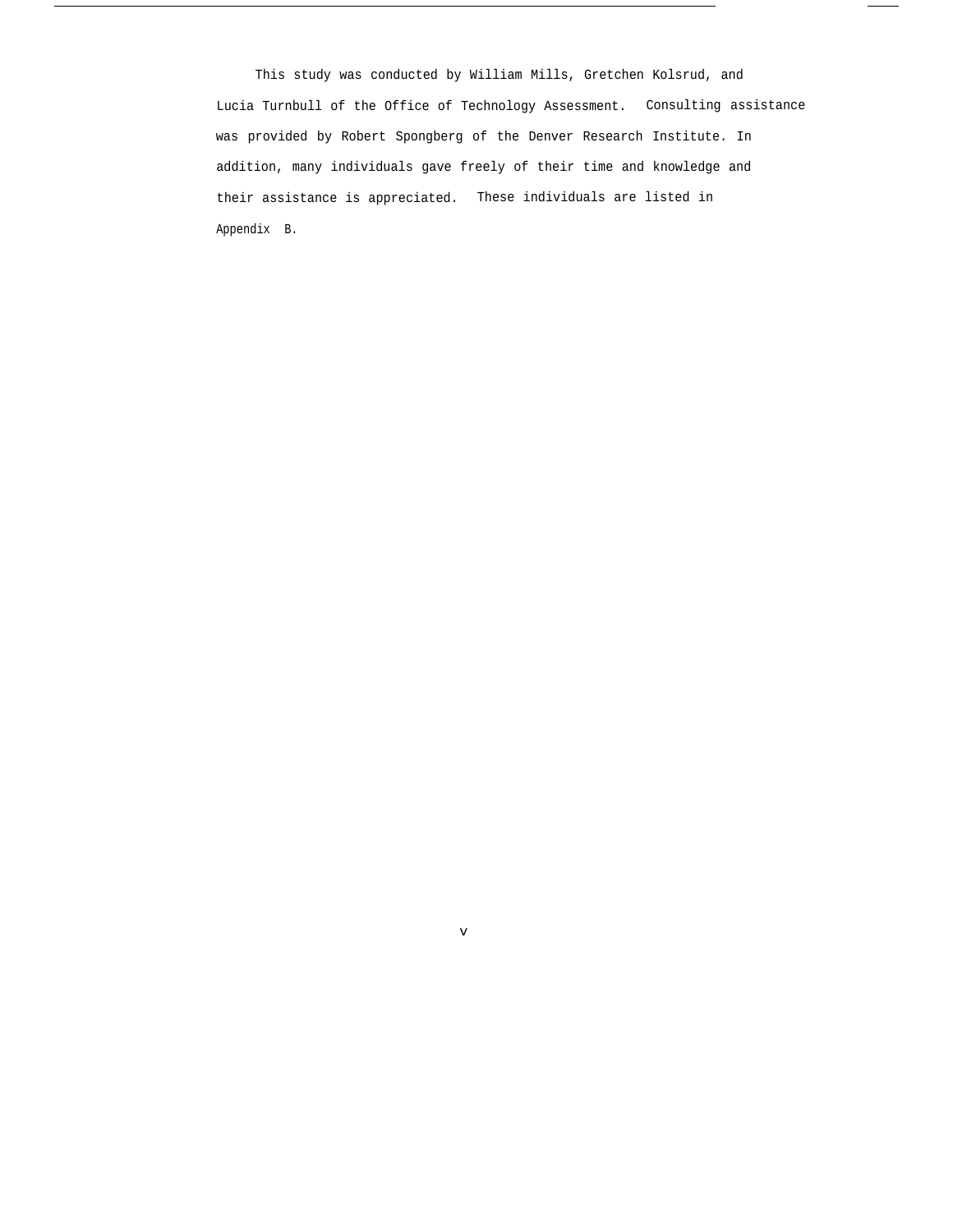This study was conducted by William Mills, Gretchen Kolsrud, and Lucia Turnbull of the Office of Technology Assessment. Consulting assistance was provided by Robert Spongberg of the Denver Research Institute. In addition, many individuals gave freely of their time and knowledge and their assistance is appreciated. These individuals are listed in Appendix B.

v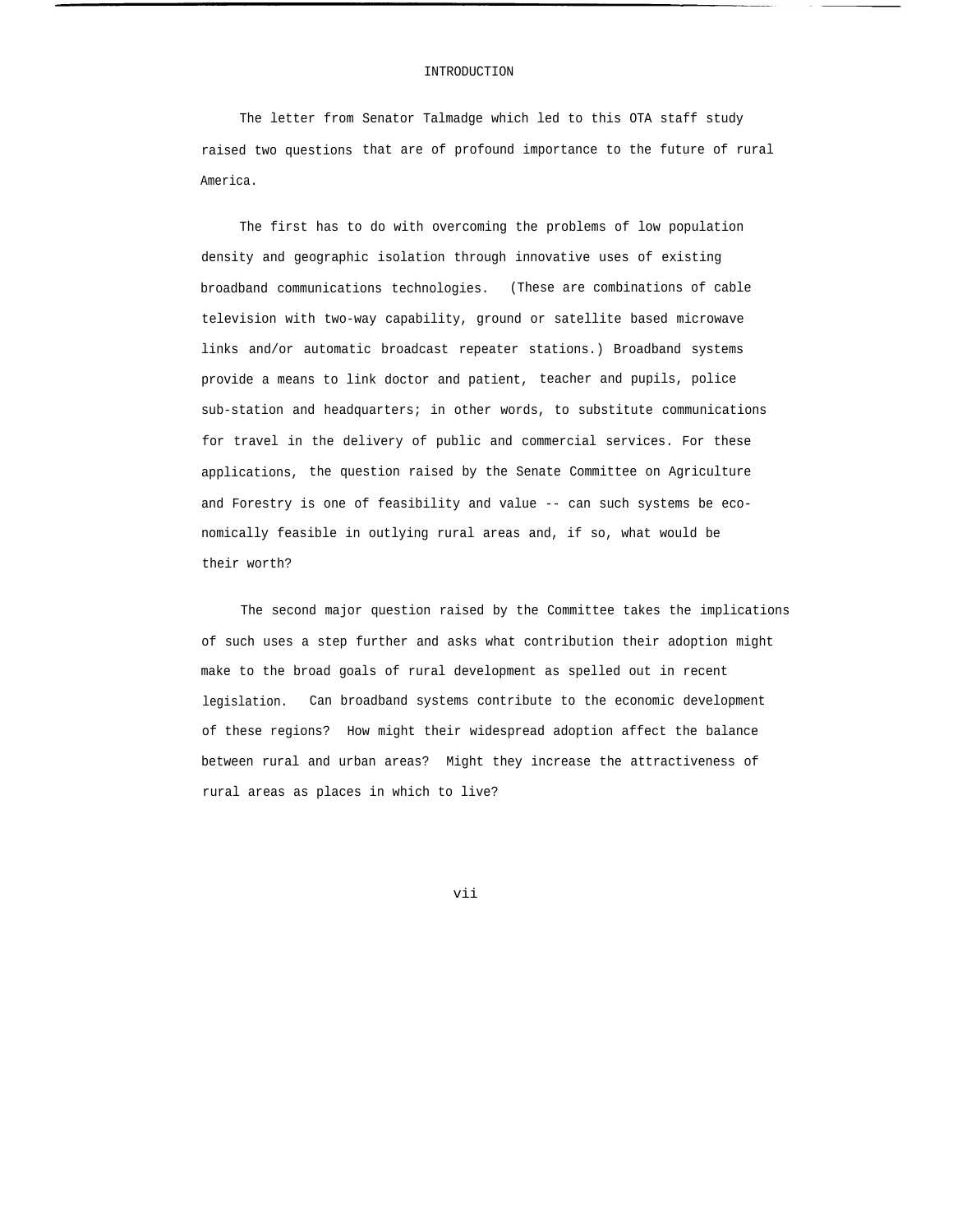## INTRODUCTION

The letter from Senator Talmadge which led to this OTA staff study raised two questions that are of profound importance to the future of rural America.

The first has to do with overcoming the problems of low population density and geographic isolation through innovative uses of existing broadband communications technologies. (These are combinations of cable television with two-way capability, ground or satellite based microwave links and/or automatic broadcast repeater stations.) Broadband systems provide a means to link doctor and patient, teacher and pupils, police sub-station and headquarters; in other words, to substitute communications for travel in the delivery of public and commercial services. For these applications, the question raised by the Senate Committee on Agriculture and Forestry is one of feasibility and value -- can such systems be economically feasible in outlying rural areas and, if so, what would be their worth?

The second major question raised by the Committee takes the implications of such uses a step further and asks what contribution their adoption might make to the broad goals of rural development as spelled out in recent legislation. Can broadband systems contribute to the economic development of these regions? How might their widespread adoption affect the balance between rural and urban areas? Might they increase the attractiveness of rural areas as places in which to live?

vii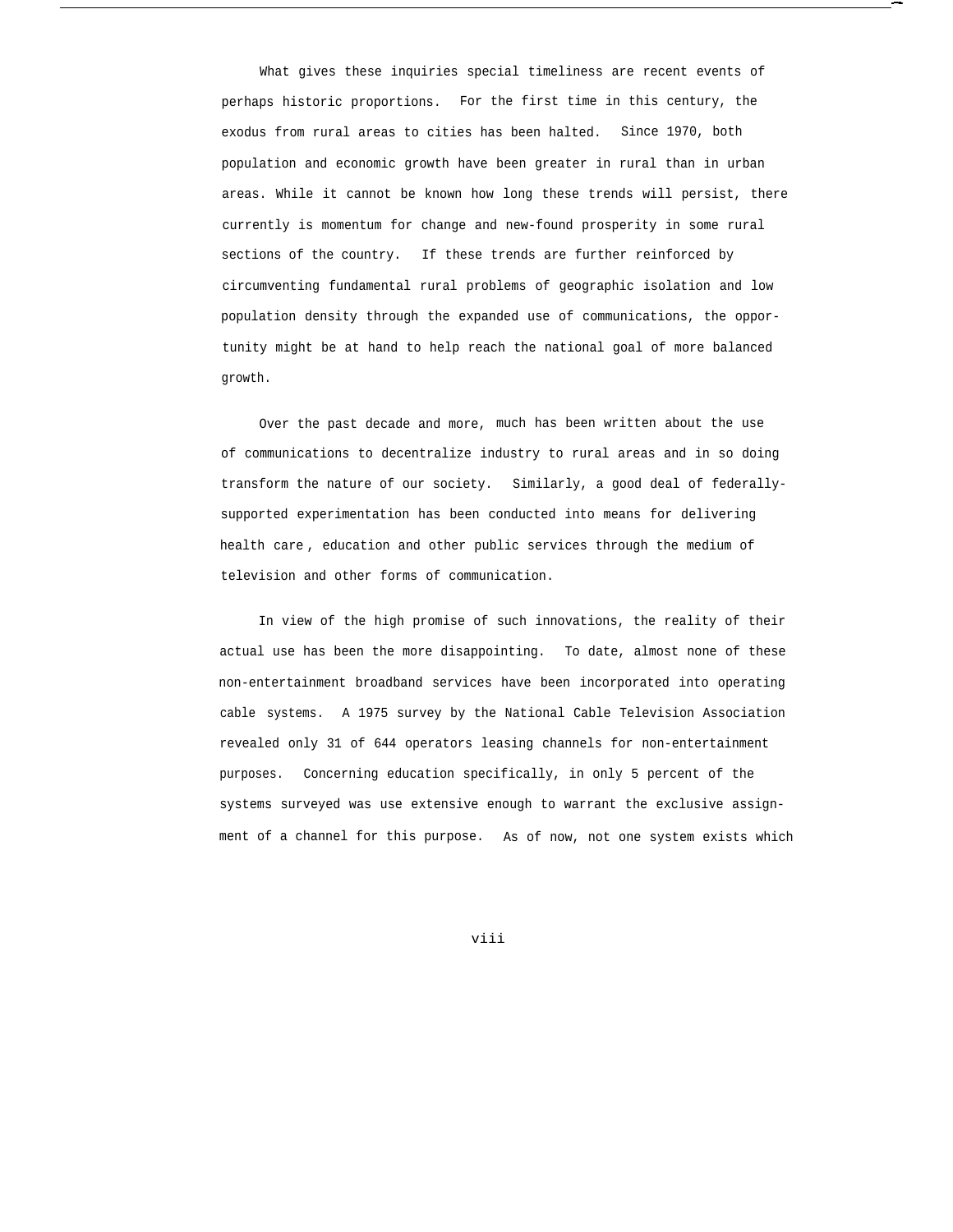What gives these inquiries special timeliness are recent events of perhaps historic proportions. For the first time in this century, the exodus from rural areas to cities has been halted. Since 1970, both population and economic growth have been greater in rural than in urban areas. While it cannot be known how long these trends will persist, there currently is momentum for change and new-found prosperity in some rural sections of the country. If these trends are further reinforced by circumventing fundamental rural problems of geographic isolation and low population density through the expanded use of communications, the opportunity might be at hand to help reach the national goal of more balanced growth.

.

Over the past decade and more, much has been written about the use of communications to decentralize industry to rural areas and in so doing transform the nature of our society. Similarly, a good deal of federallysupported experimentation has been conducted into means for delivering health care , education and other public services through the medium of television and other forms of communication.

In view of the high promise of such innovations, the reality of their actual use has been the more disappointing. To date, almost none of these non-entertainment broadband services have been incorporated into operating cable systems. A 1975 survey by the National Cable Television Association revealed only 31 of 644 operators leasing channels for non-entertainment purposes. Concerning education specifically, in only 5 percent of the systems surveyed was use extensive enough to warrant the exclusive assignment of a channel for this purpose. As of now, not one system exists which

viii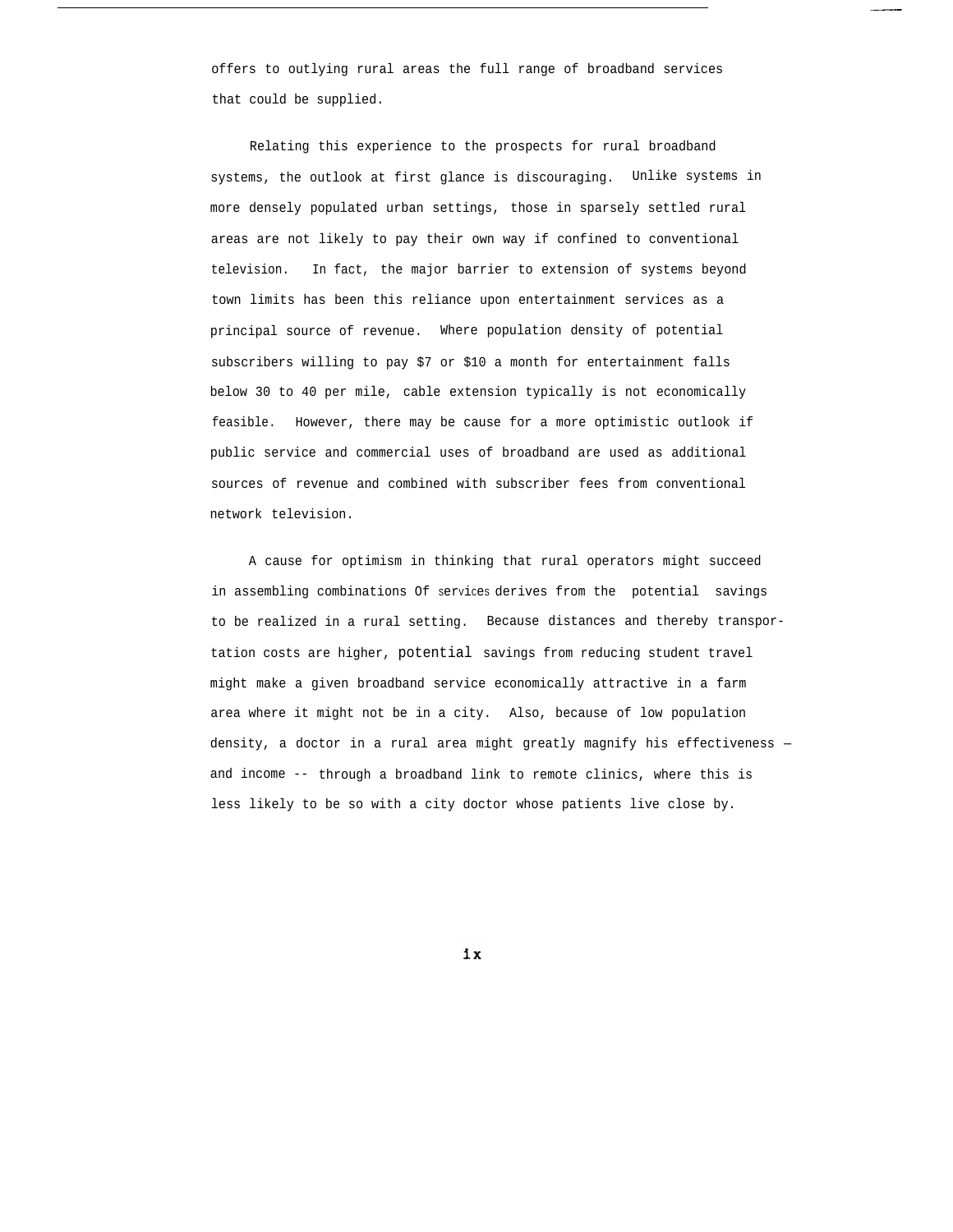offers to outlying rural areas the full range of broadband services that could be supplied.

Relating this experience to the prospects for rural broadband systems, the outlook at first glance is discouraging. Unlike systems in more densely populated urban settings, those in sparsely settled rural areas are not likely to pay their own way if confined to conventional television. In fact, the major barrier to extension of systems beyond town limits has been this reliance upon entertainment services as a principal source of revenue. Where population density of potential subscribers willing to pay \$7 or \$10 a month for entertainment falls below 30 to 40 per mile, cable extension typically is not economically feasible. However, there may be cause for a more optimistic outlook if public service and commercial uses of broadband are used as additional sources of revenue and combined with subscriber fees from conventional network television.

A cause for optimism in thinking that rural operators might succeed in assembling combinations Of services derives from the potential savings to be realized in a rural setting. Because distances and thereby transportation costs are higher, potential savings from reducing student travel might make a given broadband service economically attractive in a farm area where it might not be in a city. Also, because of low population density, a doctor in a rural area might greatly magnify his effectiveness and income -- through a broadband link to remote clinics, where this is less likely to be so with a city doctor whose patients live close by.

 $1x$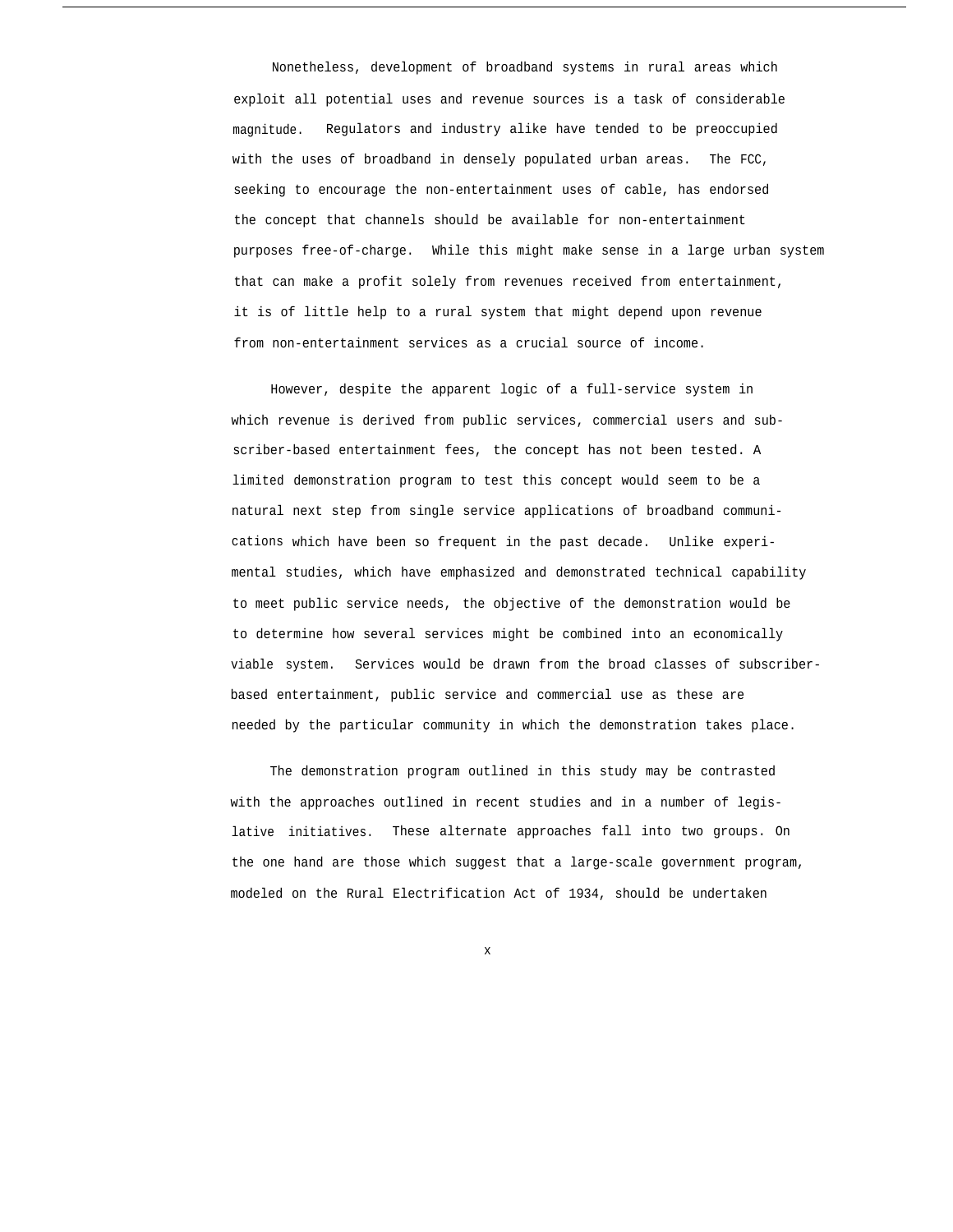Nonetheless, development of broadband systems in rural areas which exploit all potential uses and revenue sources is a task of considerable magnitude. Regulators and industry alike have tended to be preoccupied with the uses of broadband in densely populated urban areas. The FCC, seeking to encourage the non-entertainment uses of cable, has endorsed the concept that channels should be available for non-entertainment purposes free-of-charge. While this might make sense in a large urban system that can make a profit solely from revenues received from entertainment, it is of little help to a rural system that might depend upon revenue from non-entertainment services as a crucial source of income.

However, despite the apparent logic of a full-service system in which revenue is derived from public services, commercial users and subscriber-based entertainment fees, the concept has not been tested. A limited demonstration program to test this concept would seem to be a natural next step from single service applications of broadband communications which have been so frequent in the past decade. Unlike experimental studies, which have emphasized and demonstrated technical capability to meet public service needs, the objective of the demonstration would be to determine how several services might be combined into an economically viable system. Services would be drawn from the broad classes of subscriberbased entertainment, public service and commercial use as these are needed by the particular community in which the demonstration takes place.

The demonstration program outlined in this study may be contrasted with the approaches outlined in recent studies and in a number of legislative initiatives. These alternate approaches fall into two groups. On the one hand are those which suggest that a large-scale government program, modeled on the Rural Electrification Act of 1934, should be undertaken

x